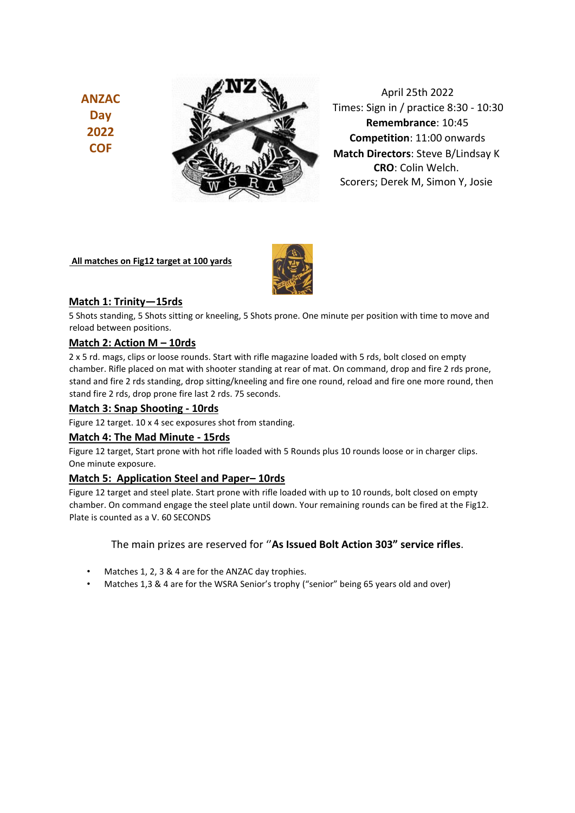**ANZAC Day 2022 COF**



April 25th 2022 Times: Sign in / practice 8:30 - 10:30 **Remembrance**: 10:45 **Competition**: 11:00 onwards **Match Directors**: Steve B/Lindsay K **CRO**: Colin Welch. Scorers; Derek M, Simon Y, Josie

### **All matches on Fig12 target at 100 yards**



# **Match 1: Trinity—15rds**

5 Shots standing, 5 Shots sitting or kneeling, 5 Shots prone. One minute per position with time to move and reload between positions.

# **Match 2: Action M – 10rds**

2 x 5 rd. mags, clips or loose rounds. Start with rifle magazine loaded with 5 rds, bolt closed on empty chamber. Rifle placed on mat with shooter standing at rear of mat. On command, drop and fire 2 rds prone, stand and fire 2 rds standing, drop sitting/kneeling and fire one round, reload and fire one more round, then stand fire 2 rds, drop prone fire last 2 rds. 75 seconds.

### **Match 3: Snap Shooting - 10rds**

Figure 12 target. 10 x 4 sec exposures shot from standing.

#### **Match 4: The Mad Minute - 15rds**

Figure 12 target, Start prone with hot rifle loaded with 5 Rounds plus 10 rounds loose or in charger clips. One minute exposure.

#### **Match 5: Application Steel and Paper– 10rds**

Figure 12 target and steel plate. Start prone with rifle loaded with up to 10 rounds, bolt closed on empty chamber. On command engage the steel plate until down. Your remaining rounds can be fired at the Fig12. Plate is counted as a V. 60 SECONDS

## The main prizes are reserved for ''**As Issued Bolt Action 303" service rifles**.

- Matches 1, 2, 3 & 4 are for the ANZAC day trophies.
- Matches 1,3 & 4 are for the WSRA Senior's trophy ("senior" being 65 years old and over)